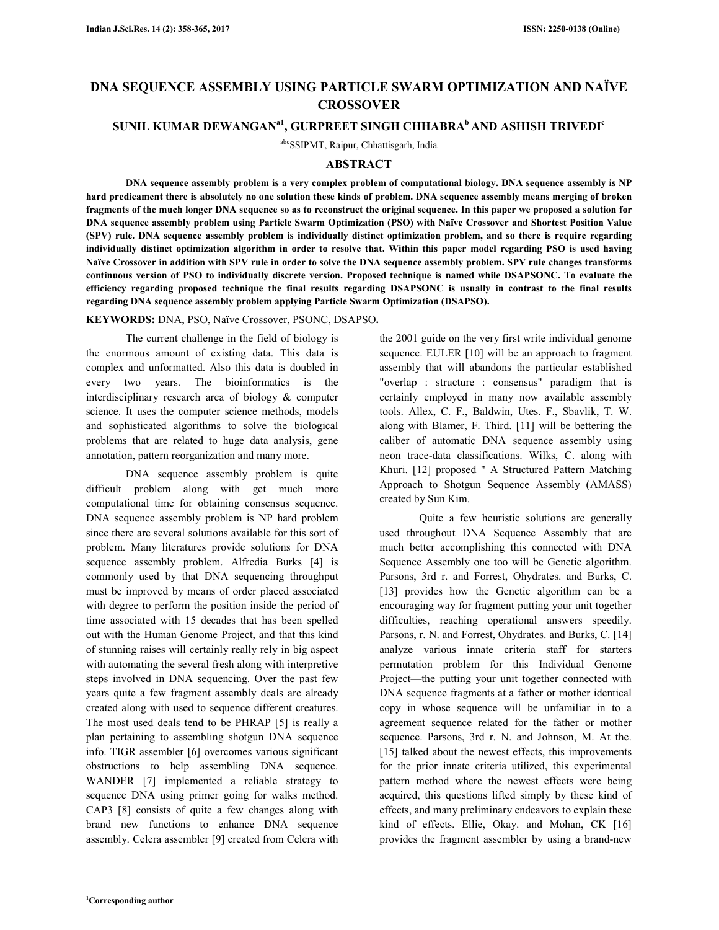# **DNA SEQUENCE ASSEMBLY USING PARTICLE SWARM OPTIMIZATION AND NAÏVE CROSSOVER**

## **SUNIL KUMAR DEWANGANa1, GURPREET SINGH CHHABRA<sup>b</sup>AND ASHISH TRIVEDI<sup>c</sup>**

abcSSIPMT, Raipur, Chhattisgarh, India

## **ABSTRACT**

 **DNA sequence assembly problem is a very complex problem of computational biology. DNA sequence assembly is NP hard predicament there is absolutely no one solution these kinds of problem. DNA sequence assembly means merging of broken fragments of the much longer DNA sequence so as to reconstruct the original sequence. In this paper we proposed a solution for DNA sequence assembly problem using Particle Swarm Optimization (PSO) with Naïve Crossover and Shortest Position Value (SPV) rule. DNA sequence assembly problem is individually distinct optimization problem, and so there is require regarding individually distinct optimization algorithm in order to resolve that. Within this paper model regarding PSO is used having Naïve Crossover in addition with SPV rule in order to solve the DNA sequence assembly problem. SPV rule changes transforms continuous version of PSO to individually discrete version. Proposed technique is named while DSAPSONC. To evaluate the efficiency regarding proposed technique the final results regarding DSAPSONC is usually in contrast to the final results regarding DNA sequence assembly problem applying Particle Swarm Optimization (DSAPSO).** 

**KEYWORDS:** DNA, PSO, Naïve Crossover, PSONC, DSAPSO**.** 

 The current challenge in the field of biology is the enormous amount of existing data. This data is complex and unformatted. Also this data is doubled in every two years. The bioinformatics is the interdisciplinary research area of biology & computer science. It uses the computer science methods, models and sophisticated algorithms to solve the biological problems that are related to huge data analysis, gene annotation, pattern reorganization and many more.

 DNA sequence assembly problem is quite difficult problem along with get much more computational time for obtaining consensus sequence. DNA sequence assembly problem is NP hard problem since there are several solutions available for this sort of problem. Many literatures provide solutions for DNA sequence assembly problem. Alfredia Burks [4] is commonly used by that DNA sequencing throughput must be improved by means of order placed associated with degree to perform the position inside the period of time associated with 15 decades that has been spelled out with the Human Genome Project, and that this kind of stunning raises will certainly really rely in big aspect with automating the several fresh along with interpretive steps involved in DNA sequencing. Over the past few years quite a few fragment assembly deals are already created along with used to sequence different creatures. The most used deals tend to be PHRAP [5] is really a plan pertaining to assembling shotgun DNA sequence info. TIGR assembler [6] overcomes various significant obstructions to help assembling DNA sequence. WANDER [7] implemented a reliable strategy to sequence DNA using primer going for walks method. CAP3 [8] consists of quite a few changes along with brand new functions to enhance DNA sequence assembly. Celera assembler [9] created from Celera with

the 2001 guide on the very first write individual genome sequence. EULER [10] will be an approach to fragment assembly that will abandons the particular established "overlap : structure : consensus" paradigm that is certainly employed in many now available assembly tools. Allex, C. F., Baldwin, Utes. F., Sbavlik, T. W. along with Blamer, F. Third. [11] will be bettering the caliber of automatic DNA sequence assembly using neon trace-data classifications. Wilks, C. along with Khuri. [12] proposed " A Structured Pattern Matching Approach to Shotgun Sequence Assembly (AMASS) created by Sun Kim.

 Quite a few heuristic solutions are generally used throughout DNA Sequence Assembly that are much better accomplishing this connected with DNA Sequence Assembly one too will be Genetic algorithm. Parsons, 3rd r. and Forrest, Ohydrates. and Burks, C. [13] provides how the Genetic algorithm can be a encouraging way for fragment putting your unit together difficulties, reaching operational answers speedily. Parsons, r. N. and Forrest, Ohydrates. and Burks, C. [14] analyze various innate criteria staff for starters permutation problem for this Individual Genome Project—the putting your unit together connected with DNA sequence fragments at a father or mother identical copy in whose sequence will be unfamiliar in to a agreement sequence related for the father or mother sequence. Parsons, 3rd r. N. and Johnson, M. At the. [15] talked about the newest effects, this improvements for the prior innate criteria utilized, this experimental pattern method where the newest effects were being acquired, this questions lifted simply by these kind of effects, and many preliminary endeavors to explain these kind of effects. Ellie, Okay. and Mohan, CK [16] provides the fragment assembler by using a brand-new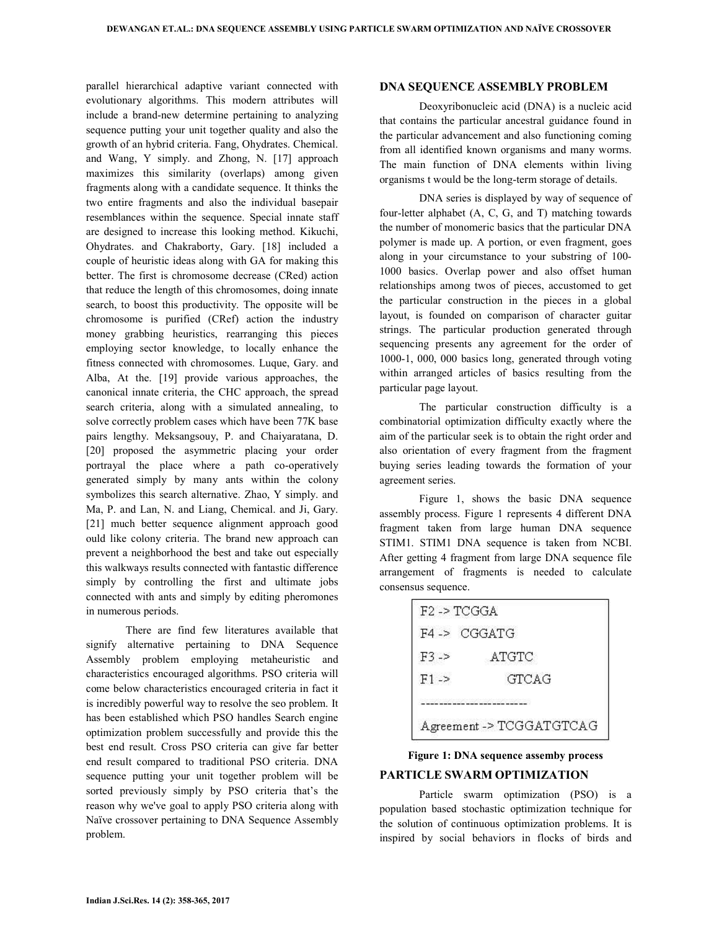parallel hierarchical adaptive variant connected with evolutionary algorithms. This modern attributes will include a brand-new determine pertaining to analyzing sequence putting your unit together quality and also the growth of an hybrid criteria. Fang, Ohydrates. Chemical. and Wang, Y simply. and Zhong, N. [17] approach maximizes this similarity (overlaps) among given fragments along with a candidate sequence. It thinks the two entire fragments and also the individual basepair resemblances within the sequence. Special innate staff are designed to increase this looking method. Kikuchi, Ohydrates. and Chakraborty, Gary. [18] included a couple of heuristic ideas along with GA for making this better. The first is chromosome decrease (CRed) action that reduce the length of this chromosomes, doing innate search, to boost this productivity. The opposite will be chromosome is purified (CRef) action the industry money grabbing heuristics, rearranging this pieces employing sector knowledge, to locally enhance the fitness connected with chromosomes. Luque, Gary. and Alba, At the. [19] provide various approaches, the canonical innate criteria, the CHC approach, the spread search criteria, along with a simulated annealing, to solve correctly problem cases which have been 77K base pairs lengthy. Meksangsouy, P. and Chaiyaratana, D. [20] proposed the asymmetric placing your order portrayal the place where a path co-operatively generated simply by many ants within the colony symbolizes this search alternative. Zhao, Y simply. and Ma, P. and Lan, N. and Liang, Chemical. and Ji, Gary. [21] much better sequence alignment approach good ould like colony criteria. The brand new approach can prevent a neighborhood the best and take out especially this walkways results connected with fantastic difference simply by controlling the first and ultimate jobs connected with ants and simply by editing pheromones in numerous periods.

 There are find few literatures available that signify alternative pertaining to DNA Sequence Assembly problem employing metaheuristic and characteristics encouraged algorithms. PSO criteria will come below characteristics encouraged criteria in fact it is incredibly powerful way to resolve the seo problem. It has been established which PSO handles Search engine optimization problem successfully and provide this the best end result. Cross PSO criteria can give far better end result compared to traditional PSO criteria. DNA sequence putting your unit together problem will be sorted previously simply by PSO criteria that's the reason why we've goal to apply PSO criteria along with Naïve crossover pertaining to DNA Sequence Assembly problem.

### **DNA SEQUENCE ASSEMBLY PROBLEM**

 Deoxyribonucleic acid (DNA) is a nucleic acid that contains the particular ancestral guidance found in the particular advancement and also functioning coming from all identified known organisms and many worms. The main function of DNA elements within living organisms t would be the long-term storage of details.

 DNA series is displayed by way of sequence of four-letter alphabet (A, C, G, and T) matching towards the number of monomeric basics that the particular DNA polymer is made up. A portion, or even fragment, goes along in your circumstance to your substring of 100- 1000 basics. Overlap power and also offset human relationships among twos of pieces, accustomed to get the particular construction in the pieces in a global layout, is founded on comparison of character guitar strings. The particular production generated through sequencing presents any agreement for the order of 1000-1, 000, 000 basics long, generated through voting within arranged articles of basics resulting from the particular page layout.

 The particular construction difficulty is a combinatorial optimization difficulty exactly where the aim of the particular seek is to obtain the right order and also orientation of every fragment from the fragment buying series leading towards the formation of your agreement series.

 Figure 1, shows the basic DNA sequence assembly process. Figure 1 represents 4 different DNA fragment taken from large human DNA sequence STIM1. STIM1 DNA sequence is taken from NCBI. After getting 4 fragment from large DNA sequence file arrangement of fragments is needed to calculate consensus sequence.

| $F2 \rightarrow TCGGA$ |                          |
|------------------------|--------------------------|
| F4 > CGGATG            |                          |
| $F3 - 5$               | ATGTC                    |
| $F1 - >$               | GTCAG                    |
|                        |                          |
|                        | Agreement -> TCGGATGTCAG |

## **Figure 1: DNA sequence assemby process PARTICLE SWARM OPTIMIZATION**

 Particle swarm optimization (PSO) is a population based stochastic optimization technique for the solution of continuous optimization problems. It is inspired by social behaviors in flocks of birds and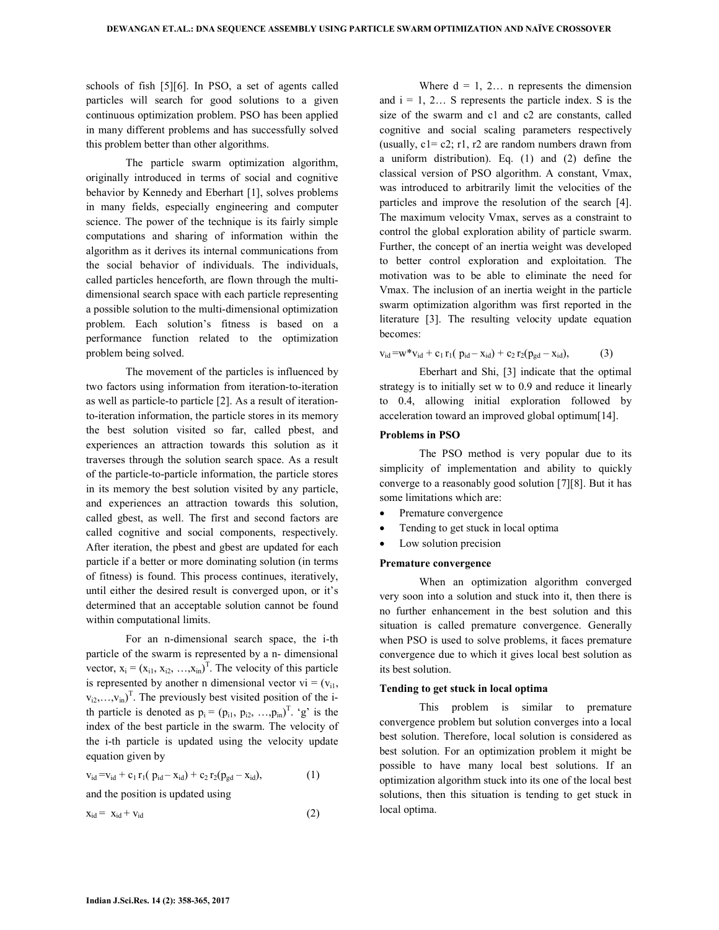schools of fish [5][6]. In PSO, a set of agents called particles will search for good solutions to a given continuous optimization problem. PSO has been applied in many different problems and has successfully solved this problem better than other algorithms.

 The particle swarm optimization algorithm, originally introduced in terms of social and cognitive behavior by Kennedy and Eberhart [1], solves problems in many fields, especially engineering and computer science. The power of the technique is its fairly simple computations and sharing of information within the algorithm as it derives its internal communications from the social behavior of individuals. The individuals, called particles henceforth, are flown through the multidimensional search space with each particle representing a possible solution to the multi-dimensional optimization problem. Each solution's fitness is based on a performance function related to the optimization problem being solved.

 The movement of the particles is influenced by two factors using information from iteration-to-iteration as well as particle-to particle [2]. As a result of iterationto-iteration information, the particle stores in its memory the best solution visited so far, called pbest, and experiences an attraction towards this solution as it traverses through the solution search space. As a result of the particle-to-particle information, the particle stores in its memory the best solution visited by any particle, and experiences an attraction towards this solution, called gbest, as well. The first and second factors are called cognitive and social components, respectively. After iteration, the pbest and gbest are updated for each particle if a better or more dominating solution (in terms of fitness) is found. This process continues, iteratively, until either the desired result is converged upon, or it's determined that an acceptable solution cannot be found within computational limits.

 For an n-dimensional search space, the i-th particle of the swarm is represented by a n- dimensional vector,  $x_i = (x_{i1}, x_{i2}, \dots, x_{in})^T$ . The velocity of this particle is represented by another n dimensional vector  $vi = (v_{i1},$  $(v_{i2},...,v_{in})^T$ . The previously best visited position of the ith particle is denoted as  $p_i = (p_{i1}, p_{i2}, ..., p_{in})^T$ . 'g' is the index of the best particle in the swarm. The velocity of the i-th particle is updated using the velocity update equation given by

$$
v_{id} = v_{id} + c_1 r_1 (p_{id} - x_{id}) + c_2 r_2 (p_{gd} - x_{id}),
$$
 (1)

and the position is updated using

$$
x_{id} = x_{id} + v_{id} \tag{2}
$$

Where  $d = 1, 2...$  n represents the dimension and  $i = 1, 2...$  S represents the particle index. S is the size of the swarm and c1 and c2 are constants, called cognitive and social scaling parameters respectively (usually,  $c1 = c2$ ; r1, r2 are random numbers drawn from a uniform distribution). Eq. (1) and (2) define the classical version of PSO algorithm. A constant, Vmax, was introduced to arbitrarily limit the velocities of the particles and improve the resolution of the search [4]. The maximum velocity Vmax, serves as a constraint to control the global exploration ability of particle swarm. Further, the concept of an inertia weight was developed to better control exploration and exploitation. The motivation was to be able to eliminate the need for Vmax. The inclusion of an inertia weight in the particle swarm optimization algorithm was first reported in the literature [3]. The resulting velocity update equation becomes:

$$
v_{id} = w^* v_{id} + c_1 r_1 (p_{id} - x_{id}) + c_2 r_2 (p_{gd} - x_{id}),
$$
 (3)

 Eberhart and Shi, [3] indicate that the optimal strategy is to initially set w to 0.9 and reduce it linearly to 0.4, allowing initial exploration followed by acceleration toward an improved global optimum[14].

#### **Problems in PSO**

 The PSO method is very popular due to its simplicity of implementation and ability to quickly converge to a reasonably good solution [7][8]. But it has some limitations which are:

- Premature convergence
- Tending to get stuck in local optima
- Low solution precision

#### **Premature convergence**

 When an optimization algorithm converged very soon into a solution and stuck into it, then there is no further enhancement in the best solution and this situation is called premature convergence. Generally when PSO is used to solve problems, it faces premature convergence due to which it gives local best solution as its best solution.

#### **Tending to get stuck in local optima**

 This problem is similar to premature convergence problem but solution converges into a local best solution. Therefore, local solution is considered as best solution. For an optimization problem it might be possible to have many local best solutions. If an optimization algorithm stuck into its one of the local best solutions, then this situation is tending to get stuck in local optima.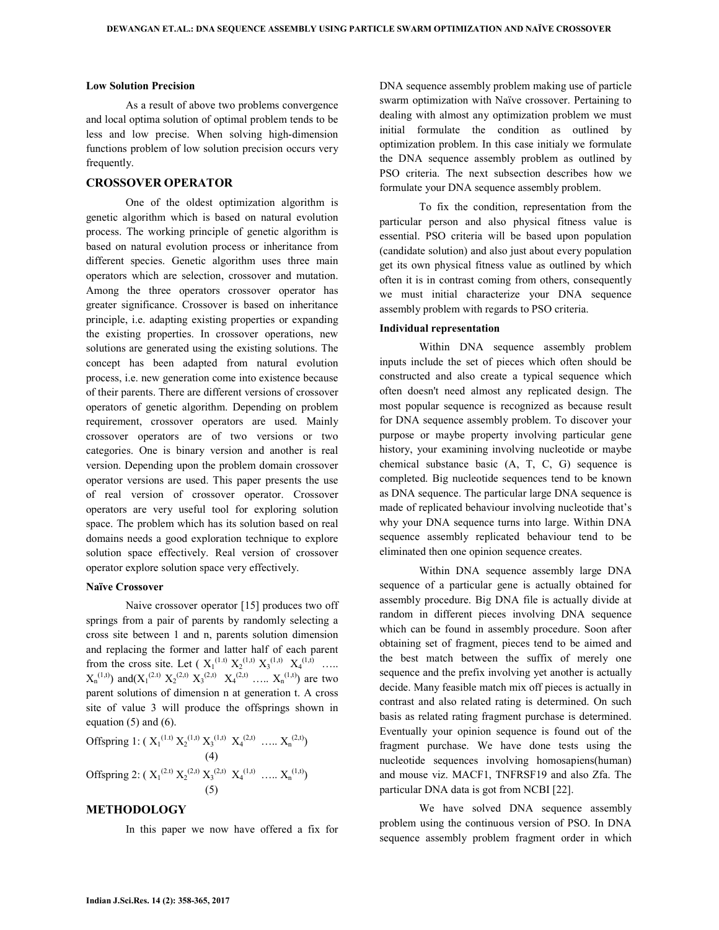#### **Low Solution Precision**

 As a result of above two problems convergence and local optima solution of optimal problem tends to be less and low precise. When solving high-dimension functions problem of low solution precision occurs very frequently.

#### **CROSSOVER OPERATOR**

 One of the oldest optimization algorithm is genetic algorithm which is based on natural evolution process. The working principle of genetic algorithm is based on natural evolution process or inheritance from different species. Genetic algorithm uses three main operators which are selection, crossover and mutation. Among the three operators crossover operator has greater significance. Crossover is based on inheritance principle, i.e. adapting existing properties or expanding the existing properties. In crossover operations, new solutions are generated using the existing solutions. The concept has been adapted from natural evolution process, i.e. new generation come into existence because of their parents. There are different versions of crossover operators of genetic algorithm. Depending on problem requirement, crossover operators are used. Mainly crossover operators are of two versions or two categories. One is binary version and another is real version. Depending upon the problem domain crossover operator versions are used. This paper presents the use of real version of crossover operator. Crossover operators are very useful tool for exploring solution space. The problem which has its solution based on real domains needs a good exploration technique to explore solution space effectively. Real version of crossover operator explore solution space very effectively.

#### **Naïve Crossover**

 Naive crossover operator [15] produces two off springs from a pair of parents by randomly selecting a cross site between 1 and n, parents solution dimension and replacing the former and latter half of each parent from the cross site. Let  $(X_1^{(1,t)} X_2^{(1,t)} X_3^{(1,t)} X_4^{(1,t)} \dots$  $X_n^{(1,t)}$  and  $(X_1^{(2,t)} X_2^{(2,t)} X_3^{(2,t)} X_4^{(2,t)} \dots X_n^{(1,t)}$  are two parent solutions of dimension n at generation t. A cross site of value 3 will produce the offsprings shown in equation (5) and (6).

Offspring 1: 
$$
(X_1^{(1,t)} X_2^{(1,t)} X_3^{(1,t)} X_4^{(2,t)} \dots X_n^{(2,t)}
$$
  
\n(4)  
\nOffspring 2:  $(X_1^{(2,t)} X_2^{(2,t)} X_3^{(2,t)} X_4^{(1,t)} \dots X_n^{(1,t)})$   
\n(5)

#### **METHODOLOGY**

In this paper we now have offered a fix for

DNA sequence assembly problem making use of particle swarm optimization with Naïve crossover. Pertaining to dealing with almost any optimization problem we must initial formulate the condition as outlined by optimization problem. In this case initialy we formulate the DNA sequence assembly problem as outlined by PSO criteria. The next subsection describes how we formulate your DNA sequence assembly problem.

 To fix the condition, representation from the particular person and also physical fitness value is essential. PSO criteria will be based upon population (candidate solution) and also just about every population get its own physical fitness value as outlined by which often it is in contrast coming from others, consequently we must initial characterize your DNA sequence assembly problem with regards to PSO criteria.

#### **Individual representation**

 Within DNA sequence assembly problem inputs include the set of pieces which often should be constructed and also create a typical sequence which often doesn't need almost any replicated design. The most popular sequence is recognized as because result for DNA sequence assembly problem. To discover your purpose or maybe property involving particular gene history, your examining involving nucleotide or maybe chemical substance basic (A, T, C, G) sequence is completed. Big nucleotide sequences tend to be known as DNA sequence. The particular large DNA sequence is made of replicated behaviour involving nucleotide that's why your DNA sequence turns into large. Within DNA sequence assembly replicated behaviour tend to be eliminated then one opinion sequence creates.

 Within DNA sequence assembly large DNA sequence of a particular gene is actually obtained for assembly procedure. Big DNA file is actually divide at random in different pieces involving DNA sequence which can be found in assembly procedure. Soon after obtaining set of fragment, pieces tend to be aimed and the best match between the suffix of merely one sequence and the prefix involving yet another is actually decide. Many feasible match mix off pieces is actually in contrast and also related rating is determined. On such basis as related rating fragment purchase is determined. Eventually your opinion sequence is found out of the fragment purchase. We have done tests using the nucleotide sequences involving homosapiens(human) and mouse viz. MACF1, TNFRSF19 and also Zfa. The particular DNA data is got from NCBI [22].

 We have solved DNA sequence assembly problem using the continuous version of PSO. In DNA sequence assembly problem fragment order in which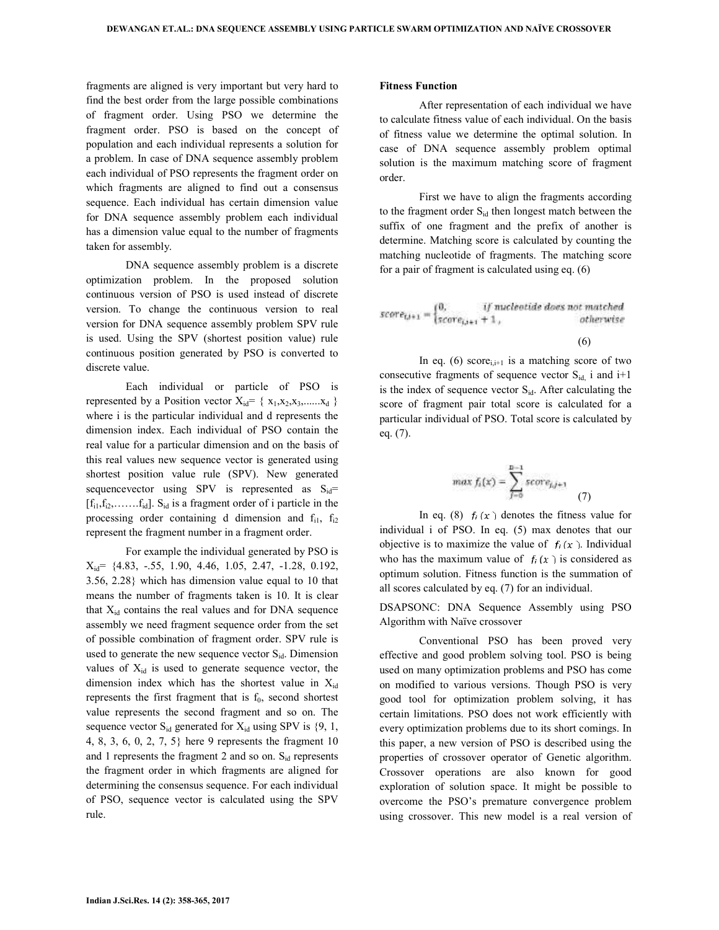fragments are aligned is very important but very hard to find the best order from the large possible combinations of fragment order. Using PSO we determine the fragment order. PSO is based on the concept of population and each individual represents a solution for a problem. In case of DNA sequence assembly problem each individual of PSO represents the fragment order on which fragments are aligned to find out a consensus sequence. Each individual has certain dimension value for DNA sequence assembly problem each individual has a dimension value equal to the number of fragments taken for assembly.

 DNA sequence assembly problem is a discrete optimization problem. In the proposed solution continuous version of PSO is used instead of discrete version. To change the continuous version to real version for DNA sequence assembly problem SPV rule is used. Using the SPV (shortest position value) rule continuous position generated by PSO is converted to discrete value.

 Each individual or particle of PSO is represented by a Position vector  $X_{id} = \{x_1, x_2, x_3, \dots, x_d\}$ where i is the particular individual and d represents the dimension index. Each individual of PSO contain the real value for a particular dimension and on the basis of this real values new sequence vector is generated using shortest position value rule (SPV). New generated sequencevector using SPV is represented as  $S_{id}$ =  $[f_{i1},f_{i2},\ldots, f_{id}]$ .  $S_{id}$  is a fragment order of i particle in the processing order containing d dimension and  $f_{i1}$ ,  $f_{i2}$ represent the fragment number in a fragment order.

 For example the individual generated by PSO is  $X_{id}$  = {4.83, -.55, 1.90, 4.46, 1.05, 2.47, -1.28, 0.192, 3.56, 2.28} which has dimension value equal to 10 that means the number of fragments taken is 10. It is clear that  $X_{id}$  contains the real values and for DNA sequence assembly we need fragment sequence order from the set of possible combination of fragment order. SPV rule is used to generate the new sequence vector  $S_{id}$ . Dimension values of  $X_{id}$  is used to generate sequence vector, the dimension index which has the shortest value in  $X_{id}$ represents the first fragment that is  $f_0$ , second shortest value represents the second fragment and so on. The sequence vector  $S_{id}$  generated for  $X_{id}$  using SPV is  $\{9, 1,$ 4, 8, 3, 6, 0, 2, 7, 5} here 9 represents the fragment 10 and 1 represents the fragment 2 and so on.  $S_{id}$  represents the fragment order in which fragments are aligned for determining the consensus sequence. For each individual of PSO, sequence vector is calculated using the SPV rule.

#### **Fitness Function**

 After representation of each individual we have to calculate fitness value of each individual. On the basis of fitness value we determine the optimal solution. In case of DNA sequence assembly problem optimal solution is the maximum matching score of fragment order.

 First we have to align the fragments according to the fragment order S<sub>id</sub> then longest match between the suffix of one fragment and the prefix of another is determine. Matching score is calculated by counting the matching nucleotide of fragments. The matching score for a pair of fragment is calculated using eq. (6)

$$
score_{t,i+1} = \begin{cases} 0, & if \ nucleotide \ does \ not \ matched \\ score_{i,i+1} + 1, & otherwise \end{cases}
$$

In eq. (6) score<sub>i,i+1</sub> is a matching score of two consecutive fragments of sequence vector  $S_{id}$  i and i+1 is the index of sequence vector  $S_{id}$ . After calculating the score of fragment pair total score is calculated for a particular individual of PSO. Total score is calculated by eq. (7).

$$
\max f_i(x) = \sum_{j=0}^{n-1} \text{score}_{j,j+1} \tag{7}
$$

In eq. (8)  $f_i(x)$  denotes the fitness value for individual i of PSO. In eq. (5) max denotes that our objective is to maximize the value of  $f_i(x)$ . Individual who has the maximum value of  $f_i(x)$  is considered as optimum solution. Fitness function is the summation of all scores calculated by eq. (7) for an individual.

DSAPSONC: DNA Sequence Assembly using PSO Algorithm with Naïve crossover

 Conventional PSO has been proved very effective and good problem solving tool. PSO is being used on many optimization problems and PSO has come on modified to various versions. Though PSO is very good tool for optimization problem solving, it has certain limitations. PSO does not work efficiently with every optimization problems due to its short comings. In this paper, a new version of PSO is described using the properties of crossover operator of Genetic algorithm. Crossover operations are also known for good exploration of solution space. It might be possible to overcome the PSO's premature convergence problem using crossover. This new model is a real version of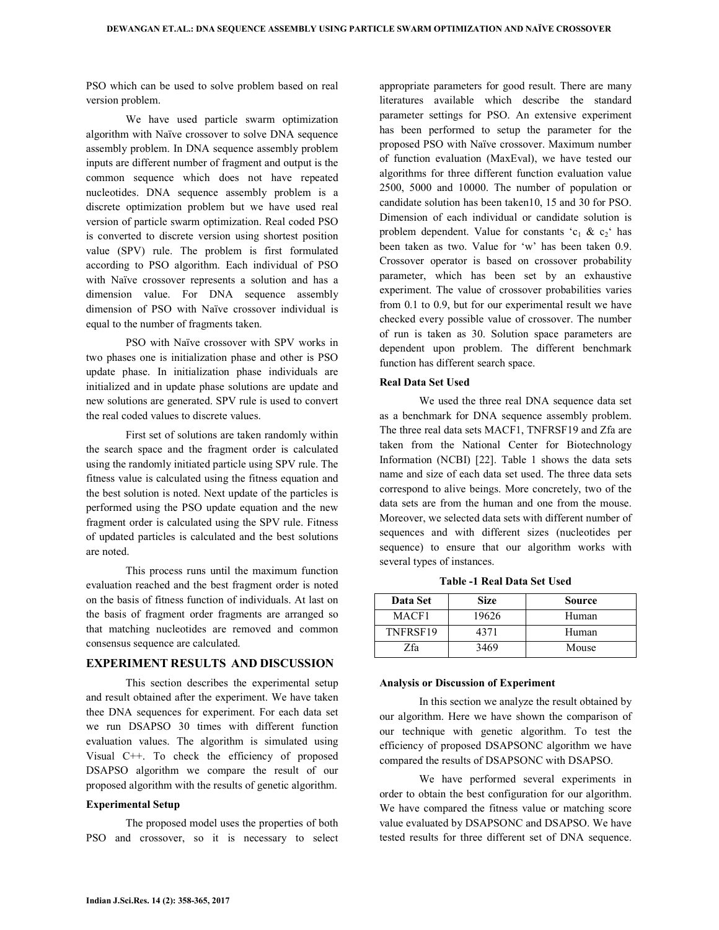PSO which can be used to solve problem based on real version problem.

 We have used particle swarm optimization algorithm with Naïve crossover to solve DNA sequence assembly problem. In DNA sequence assembly problem inputs are different number of fragment and output is the common sequence which does not have repeated nucleotides. DNA sequence assembly problem is a discrete optimization problem but we have used real version of particle swarm optimization. Real coded PSO is converted to discrete version using shortest position value (SPV) rule. The problem is first formulated according to PSO algorithm. Each individual of PSO with Naïve crossover represents a solution and has a dimension value. For DNA sequence assembly dimension of PSO with Naïve crossover individual is equal to the number of fragments taken.

 PSO with Naïve crossover with SPV works in two phases one is initialization phase and other is PSO update phase. In initialization phase individuals are initialized and in update phase solutions are update and new solutions are generated. SPV rule is used to convert the real coded values to discrete values.

 First set of solutions are taken randomly within the search space and the fragment order is calculated using the randomly initiated particle using SPV rule. The fitness value is calculated using the fitness equation and the best solution is noted. Next update of the particles is performed using the PSO update equation and the new fragment order is calculated using the SPV rule. Fitness of updated particles is calculated and the best solutions are noted.

 This process runs until the maximum function evaluation reached and the best fragment order is noted on the basis of fitness function of individuals. At last on the basis of fragment order fragments are arranged so that matching nucleotides are removed and common consensus sequence are calculated.

#### **EXPERIMENT RESULTS AND DISCUSSION**

 This section describes the experimental setup and result obtained after the experiment. We have taken thee DNA sequences for experiment. For each data set we run DSAPSO 30 times with different function evaluation values. The algorithm is simulated using Visual C++. To check the efficiency of proposed DSAPSO algorithm we compare the result of our proposed algorithm with the results of genetic algorithm.

#### **Experimental Setup**

 The proposed model uses the properties of both PSO and crossover, so it is necessary to select appropriate parameters for good result. There are many literatures available which describe the standard parameter settings for PSO. An extensive experiment has been performed to setup the parameter for the proposed PSO with Naïve crossover. Maximum number of function evaluation (MaxEval), we have tested our algorithms for three different function evaluation value 2500, 5000 and 10000. The number of population or candidate solution has been taken10, 15 and 30 for PSO. Dimension of each individual or candidate solution is problem dependent. Value for constants ' $c_1 \& c_2$ ' has been taken as two. Value for 'w' has been taken 0.9. Crossover operator is based on crossover probability parameter, which has been set by an exhaustive experiment. The value of crossover probabilities varies from 0.1 to 0.9, but for our experimental result we have checked every possible value of crossover. The number of run is taken as 30. Solution space parameters are dependent upon problem. The different benchmark function has different search space.

## **Real Data Set Used**

 We used the three real DNA sequence data set as a benchmark for DNA sequence assembly problem. The three real data sets MACF1, TNFRSF19 and Zfa are taken from the National Center for Biotechnology Information (NCBI) [22]. Table 1 shows the data sets name and size of each data set used. The three data sets correspond to alive beings. More concretely, two of the data sets are from the human and one from the mouse. Moreover, we selected data sets with different number of sequences and with different sizes (nucleotides per sequence) to ensure that our algorithm works with several types of instances.

| Table -1 Real Data Set Used |  |
|-----------------------------|--|
|-----------------------------|--|

| Data Set | <b>Size</b> | Source |
|----------|-------------|--------|
| MACF1    | 19626       | Human  |
| TNFRSF19 | 4371        | Human  |
| 7fa      | 3469        | Mouse  |

#### **Analysis or Discussion of Experiment**

 In this section we analyze the result obtained by our algorithm. Here we have shown the comparison of our technique with genetic algorithm. To test the efficiency of proposed DSAPSONC algorithm we have compared the results of DSAPSONC with DSAPSO.

 We have performed several experiments in order to obtain the best configuration for our algorithm. We have compared the fitness value or matching score value evaluated by DSAPSONC and DSAPSO. We have tested results for three different set of DNA sequence.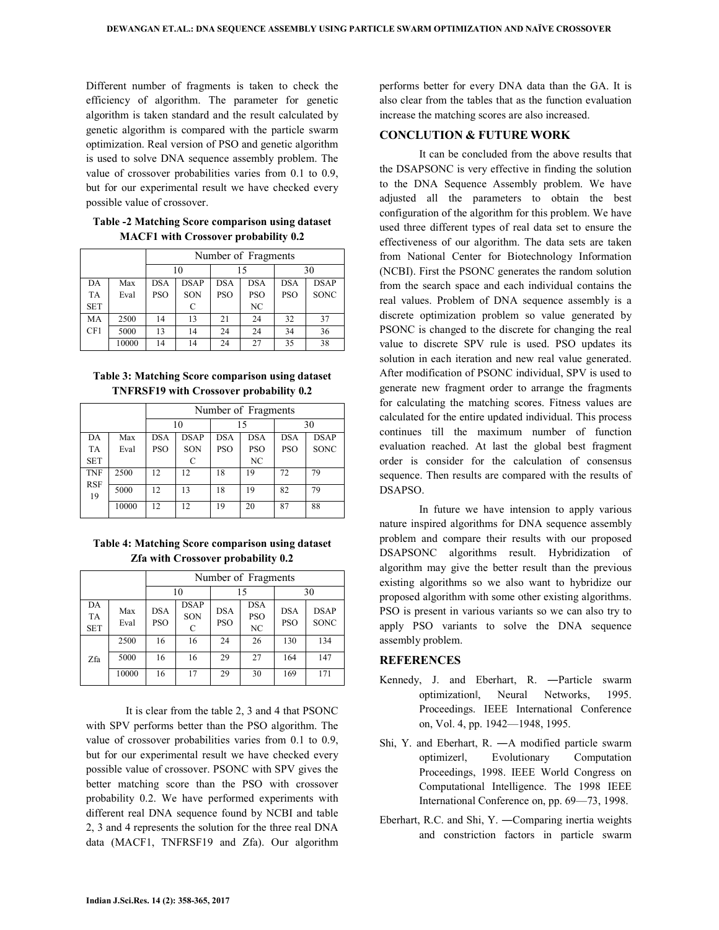Different number of fragments is taken to check the efficiency of algorithm. The parameter for genetic algorithm is taken standard and the result calculated by genetic algorithm is compared with the particle swarm optimization. Real version of PSO and genetic algorithm is used to solve DNA sequence assembly problem. The value of crossover probabilities varies from 0.1 to 0.9, but for our experimental result we have checked every possible value of crossover.

**Table -2 Matching Score comparison using dataset MACF1 with Crossover probability 0.2** 

|            |       | Number of Fragments |             |            |            |            |             |
|------------|-------|---------------------|-------------|------------|------------|------------|-------------|
|            |       | 10                  |             | 15         |            | 30         |             |
| DA         | Max   | <b>DSA</b>          | <b>DSAP</b> | <b>DSA</b> | <b>DSA</b> | <b>DSA</b> | <b>DSAP</b> |
| <b>TA</b>  | Eval  | <b>PSO</b>          | SON         | <b>PSO</b> | <b>PSO</b> | <b>PSO</b> | <b>SONC</b> |
| <b>SET</b> |       |                     | C           |            | NC         |            |             |
| MA         | 2500  | 14                  | 13          | 21         | 24         | 32         | 37          |
| CF1        | 5000  | 13                  | 14          | 24         | 24         | 34         | 36          |
|            | 10000 | 14                  | 14          | 24         | 27         | 35         | 38          |

**Table 3: Matching Score comparison using dataset TNFRSF19 with Crossover probability 0.2** 

|                  |       | Number of Fragments |             |            |            |            |             |  |
|------------------|-------|---------------------|-------------|------------|------------|------------|-------------|--|
|                  |       | 10                  |             | 15         |            | 30         |             |  |
| DA               | Max   | <b>DSA</b>          | <b>DSAP</b> | <b>DSA</b> | <b>DSA</b> | <b>DSA</b> | <b>DSAP</b> |  |
| <b>TA</b>        | Eval  | <b>PSO</b>          | SON         | <b>PSO</b> | <b>PSO</b> | <b>PSO</b> | <b>SONC</b> |  |
| <b>SET</b>       |       |                     | C           |            | NC         |            |             |  |
| <b>TNF</b>       | 2500  | 12                  | 12          | 18         | 19         | 72         | 79          |  |
| <b>RSF</b><br>19 | 5000  | 12                  | 13          | 18         | 19         | 82         | 79          |  |
|                  | 10000 | 12                  | 12          | 19         | 20         | 87         | 88          |  |

**Table 4: Matching Score comparison using dataset Zfa with Crossover probability 0.2** 

|                               |             | Number of Fragments |                                    |                          |                                |                          |                            |  |
|-------------------------------|-------------|---------------------|------------------------------------|--------------------------|--------------------------------|--------------------------|----------------------------|--|
|                               |             | 10                  |                                    | 15                       |                                | 30                       |                            |  |
| DA<br><b>TA</b><br><b>SET</b> | Max<br>Eval | <b>DSA</b><br>PSO   | <b>DSAP</b><br>SON<br>$\mathsf{C}$ | <b>DSA</b><br><b>PSO</b> | <b>DSA</b><br><b>PSO</b><br>NC | <b>DSA</b><br><b>PSO</b> | <b>DSAP</b><br><b>SONC</b> |  |
|                               | 2500        | 16                  | 16                                 | 24                       | 26                             | 130                      | 134                        |  |
| Zfa                           | 5000        | 16                  | 16                                 | 29                       | 27                             | 164                      | 147                        |  |
|                               | 10000       | 16                  | 17                                 | 29                       | 30                             | 169                      | 171                        |  |

 It is clear from the table 2, 3 and 4 that PSONC with SPV performs better than the PSO algorithm. The value of crossover probabilities varies from 0.1 to 0.9, but for our experimental result we have checked every possible value of crossover. PSONC with SPV gives the better matching score than the PSO with crossover probability 0.2. We have performed experiments with different real DNA sequence found by NCBI and table 2, 3 and 4 represents the solution for the three real DNA data (MACF1, TNFRSF19 and Zfa). Our algorithm

performs better for every DNA data than the GA. It is also clear from the tables that as the function evaluation increase the matching scores are also increased.

## **CONCLUTION & FUTURE WORK**

 It can be concluded from the above results that the DSAPSONC is very effective in finding the solution to the DNA Sequence Assembly problem. We have adjusted all the parameters to obtain the best configuration of the algorithm for this problem. We have used three different types of real data set to ensure the effectiveness of our algorithm. The data sets are taken from National Center for Biotechnology Information (NCBI). First the PSONC generates the random solution from the search space and each individual contains the real values. Problem of DNA sequence assembly is a discrete optimization problem so value generated by PSONC is changed to the discrete for changing the real value to discrete SPV rule is used. PSO updates its solution in each iteration and new real value generated. After modification of PSONC individual, SPV is used to generate new fragment order to arrange the fragments for calculating the matching scores. Fitness values are calculated for the entire updated individual. This process continues till the maximum number of function evaluation reached. At last the global best fragment order is consider for the calculation of consensus sequence. Then results are compared with the results of DSAPSO.

 In future we have intension to apply various nature inspired algorithms for DNA sequence assembly problem and compare their results with our proposed DSAPSONC algorithms result. Hybridization of algorithm may give the better result than the previous existing algorithms so we also want to hybridize our proposed algorithm with some other existing algorithms. PSO is present in various variants so we can also try to apply PSO variants to solve the DNA sequence assembly problem.

## **REFERENCES**

- Kennedy, J. and Eberhart, R. ―Particle swarm optimizationǁ, Neural Networks, 1995. Proceedings. IEEE International Conference on, Vol. 4, pp. 1942—1948, 1995.
- Shi, Y. and Eberhart, R. ―A modified particle swarm optimizerǁ, Evolutionary Computation Proceedings, 1998. IEEE World Congress on Computational Intelligence. The 1998 IEEE International Conference on, pp. 69—73, 1998.
- Eberhart, R.C. and Shi, Y. ―Comparing inertia weights and constriction factors in particle swarm